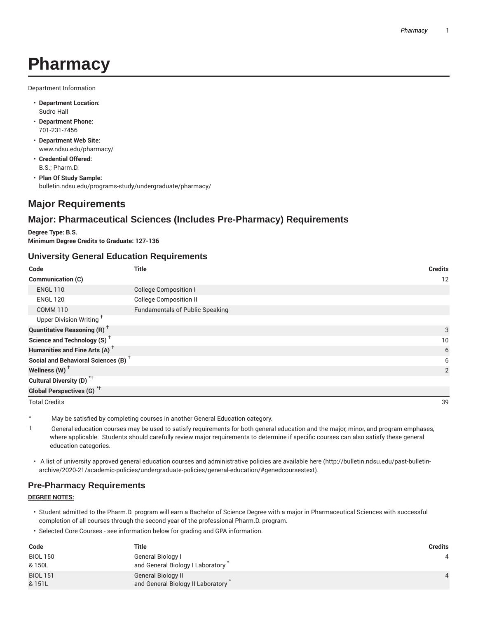# **Pharmacy**

Department Information

- **Department Location:** Sudro Hall
- **Department Phone:** 701-231-7456
- **Department Web Site:** www.ndsu.edu/pharmacy/
- **Credential Offered:** B.S.; Pharm.D.
- **Plan Of Study Sample:** bulletin.ndsu.edu/programs-study/undergraduate/pharmacy/

# **Major Requirements**

## **Major: Pharmaceutical Sciences (Includes Pre-Pharmacy) Requirements**

**Degree Type: B.S. Minimum Degree Credits to Graduate: 127-136**

## **University General Education Requirements**

| Code                                            | <b>Title</b>                           | <b>Credits</b> |
|-------------------------------------------------|----------------------------------------|----------------|
| Communication (C)                               |                                        | 12             |
| <b>ENGL 110</b>                                 | <b>College Composition I</b>           |                |
| <b>ENGL 120</b>                                 | <b>College Composition II</b>          |                |
| <b>COMM 110</b>                                 | <b>Fundamentals of Public Speaking</b> |                |
| Upper Division Writing <sup>T</sup>             |                                        |                |
| <b>Quantitative Reasoning (R)</b> <sup>†</sup>  |                                        | 3              |
| Science and Technology (S) <sup>+</sup>         |                                        | 10             |
| Humanities and Fine Arts (A) <sup>+</sup>       |                                        | 6              |
| Social and Behavioral Sciences (B) <sup>+</sup> |                                        | 6              |
| Wellness (W) $^{\dagger}$                       |                                        | 2              |
| Cultural Diversity (D) <sup>*†</sup>            |                                        |                |
| Global Perspectives (G) <sup>*†</sup>           |                                        |                |

Total Credits 39

\* May be satisfied by completing courses in another General Education category.

- $\dagger$  General education courses may be used to satisfy requirements for both general education and the major, minor, and program emphases, where applicable. Students should carefully review major requirements to determine if specific courses can also satisfy these general education categories.
- A list of university approved general education courses and administrative policies are available here (http://bulletin.ndsu.edu/past-bulletinarchive/2020-21/academic-policies/undergraduate-policies/general-education/#genedcoursestext).

## **Pre-Pharmacy Requirements**

#### **DEGREE NOTES:**

- Student admitted to the Pharm.D. program will earn a Bachelor of Science Degree with a major in Pharmaceutical Sciences with successful completion of all courses through the second year of the professional Pharm.D. program.
- Selected Core Courses see information below for grading and GPA information.

| Code            | Title                             | Credits |
|-----------------|-----------------------------------|---------|
| <b>BIOL 150</b> | General Biology I                 |         |
| & 150L          | and General Biology I Laboratory  |         |
| <b>BIOL 151</b> | <b>General Biology II</b>         |         |
| & 151L          | and General Biology II Laboratory |         |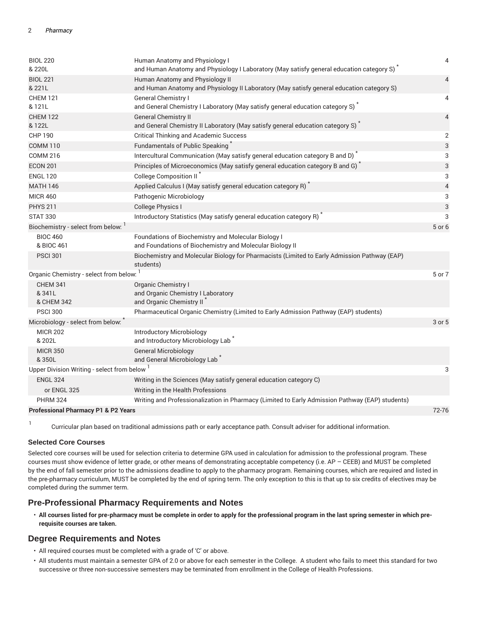| <b>BIOL 220</b><br>& 220L                                                                                       | Human Anatomy and Physiology I<br>and Human Anatomy and Physiology I Laboratory (May satisfy general education category S) <sup>*</sup> | 4                        |  |  |
|-----------------------------------------------------------------------------------------------------------------|-----------------------------------------------------------------------------------------------------------------------------------------|--------------------------|--|--|
| <b>BIOL 221</b><br>& 221L                                                                                       | Human Anatomy and Physiology II<br>and Human Anatomy and Physiology II Laboratory (May satisfy general education category S)            | $\overline{4}$           |  |  |
| <b>CHEM 121</b><br>& 121L                                                                                       | General Chemistry I<br>and General Chemistry I Laboratory (May satisfy general education category S)                                    | 4                        |  |  |
| <b>CHEM 122</b><br>& 122L                                                                                       | <b>General Chemistry II</b><br>and General Chemistry II Laboratory (May satisfy general education category S) <sup>*</sup>              | $\overline{4}$           |  |  |
| <b>CHP 190</b>                                                                                                  | <b>Critical Thinking and Academic Success</b>                                                                                           | $\overline{2}$           |  |  |
| <b>COMM 110</b>                                                                                                 | Fundamentals of Public Speaking                                                                                                         | 3                        |  |  |
| <b>COMM 216</b>                                                                                                 | Intercultural Communication (May satisfy general education category B and D)                                                            | 3                        |  |  |
| <b>ECON 201</b>                                                                                                 | Principles of Microeconomics (May satisfy general education category B and G) <sup>*</sup>                                              | 3                        |  |  |
| <b>ENGL 120</b>                                                                                                 | College Composition II <sup>*</sup>                                                                                                     | 3                        |  |  |
| <b>MATH 146</b>                                                                                                 | Applied Calculus I (May satisfy general education category R) <sup>*</sup>                                                              | $\overline{\mathcal{L}}$ |  |  |
| <b>MICR 460</b>                                                                                                 | Pathogenic Microbiology                                                                                                                 | 3                        |  |  |
| <b>PHYS 211</b>                                                                                                 | College Physics I                                                                                                                       | 3                        |  |  |
| <b>STAT 330</b>                                                                                                 | Introductory Statistics (May satisfy general education category R)                                                                      | 3                        |  |  |
| Biochemistry - select from below:                                                                               |                                                                                                                                         | 5 or 6                   |  |  |
| <b>BIOC 460</b><br>& BIOC 461                                                                                   | Foundations of Biochemistry and Molecular Biology I<br>and Foundations of Biochemistry and Molecular Biology II                         |                          |  |  |
| <b>PSCI 301</b>                                                                                                 | Biochemistry and Molecular Biology for Pharmacists (Limited to Early Admission Pathway (EAP)<br>students)                               |                          |  |  |
| Organic Chemistry - select from below: 1                                                                        |                                                                                                                                         | 5 or 7                   |  |  |
| <b>CHEM 341</b><br>& 341L<br>& CHEM 342                                                                         | Organic Chemistry I<br>and Organic Chemistry I Laboratory<br>and Organic Chemistry II <sup>*</sup>                                      |                          |  |  |
| <b>PSCI 300</b>                                                                                                 | Pharmaceutical Organic Chemistry (Limited to Early Admission Pathway (EAP) students)                                                    |                          |  |  |
| Microbiology - select from below:                                                                               |                                                                                                                                         | 3 or 5                   |  |  |
| <b>MICR 202</b><br>& 202L                                                                                       | Introductory Microbiology<br>and Introductory Microbiology Lab                                                                          |                          |  |  |
| <b>MICR 350</b><br>&350L                                                                                        | <b>General Microbiology</b><br>and General Microbiology Lab                                                                             |                          |  |  |
| Upper Division Writing - select from below 1                                                                    |                                                                                                                                         | 3                        |  |  |
| <b>ENGL 324</b>                                                                                                 | Writing in the Sciences (May satisfy general education category C)                                                                      |                          |  |  |
| or ENGL 325                                                                                                     | Writing in the Health Professions                                                                                                       |                          |  |  |
| <b>PHRM 324</b>                                                                                                 | Writing and Professionalization in Pharmacy (Limited to Early Admission Pathway (EAP) students)                                         |                          |  |  |
| <b>Professional Pharmacy P1 &amp; P2 Years</b>                                                                  |                                                                                                                                         |                          |  |  |
| the contract of the contract of the contract of the contract of the contract of the contract of the contract of |                                                                                                                                         |                          |  |  |

Curricular plan based on traditional admissions path or early acceptance path. Consult adviser for additional information.

## **Selected Core Courses**

Selected core courses will be used for selection criteria to determine GPA used in calculation for admission to the professional program. These courses must show evidence of letter grade, or other means of demonstrating acceptable competency (i.e. AP – CEEB) and MUST be completed by the end of fall semester prior to the admissions deadline to apply to the pharmacy program. Remaining courses, which are required and listed in the pre-pharmacy curriculum, MUST be completed by the end of spring term. The only exception to this is that up to six credits of electives may be completed during the summer term.

## **Pre-Professional Pharmacy Requirements and Notes**

• **All courses listed for pre-pharmacy must be complete in order to apply for the professional program in the last spring semester in which prerequisite courses are taken.**

## **Degree Requirements and Notes**

- All required courses must be completed with a grade of 'C' or above.
- All students must maintain a semester GPA of 2.0 or above for each semester in the College. A student who fails to meet this standard for two successive or three non-successive semesters may be terminated from enrollment in the College of Health Professions.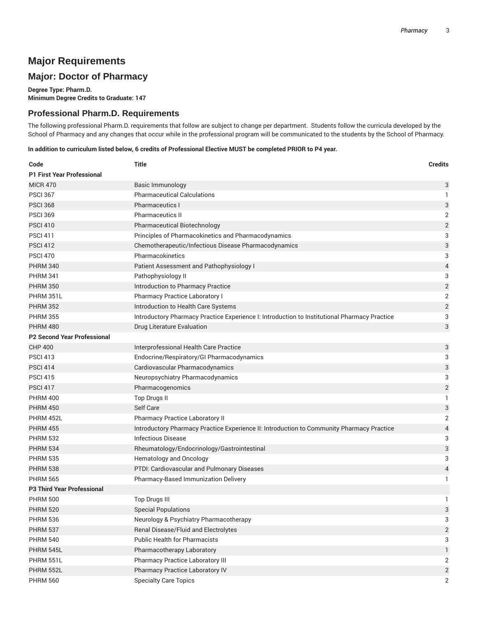# **Major Requirements**

# **Major: Doctor of Pharmacy**

**Degree Type: Pharm.D. Minimum Degree Credits to Graduate: 147**

## **Professional Pharm.D. Requirements**

The following professional Pharm.D. requirements that follow are subject to change per department. Students follow the curricula developed by the School of Pharmacy and any changes that occur while in the professional program will be communicated to the students by the School of Pharmacy.

In addition to curriculum listed below, 6 credits of Professional Elective MUST be completed PRIOR to P4 year.

| Code                               | <b>Title</b>                                                                                 | <b>Credits</b>            |
|------------------------------------|----------------------------------------------------------------------------------------------|---------------------------|
| <b>P1 First Year Professional</b>  |                                                                                              |                           |
| <b>MICR 470</b>                    | Basic Immunology                                                                             | 3                         |
| <b>PSCI 367</b>                    | <b>Pharmaceutical Calculations</b>                                                           | 1                         |
| <b>PSCI 368</b>                    | <b>Pharmaceutics I</b>                                                                       | 3                         |
| <b>PSCI 369</b>                    | <b>Pharmaceutics II</b>                                                                      | 2                         |
| <b>PSCI 410</b>                    | Pharmaceutical Biotechnology                                                                 | $\overline{2}$            |
| <b>PSCI 411</b>                    | Principles of Pharmacokinetics and Pharmacodynamics                                          | 3                         |
| <b>PSCI 412</b>                    | Chemotherapeutic/Infectious Disease Pharmacodynamics                                         | 3                         |
| <b>PSCI 470</b>                    | Pharmacokinetics                                                                             | 3                         |
| <b>PHRM 340</b>                    | Patient Assessment and Pathophysiology I                                                     | 4                         |
| <b>PHRM 341</b>                    | Pathophysiology II                                                                           | $\ensuremath{\mathsf{3}}$ |
| <b>PHRM 350</b>                    | Introduction to Pharmacy Practice                                                            | $\overline{2}$            |
| PHRM 351L                          | Pharmacy Practice Laboratory I                                                               | $\overline{2}$            |
| <b>PHRM 352</b>                    | Introduction to Health Care Systems                                                          | $\overline{2}$            |
| <b>PHRM 355</b>                    | Introductory Pharmacy Practice Experience I: Introduction to Institutional Pharmacy Practice | 3                         |
| <b>PHRM 480</b>                    | Drug Literature Evaluation                                                                   | 3                         |
| <b>P2 Second Year Professional</b> |                                                                                              |                           |
| <b>CHP 400</b>                     | Interprofessional Health Care Practice                                                       | 3                         |
| <b>PSCI 413</b>                    | Endocrine/Respiratory/GI Pharmacodynamics                                                    | 3                         |
| <b>PSCI 414</b>                    | Cardiovascular Pharmacodynamics                                                              | 3                         |
| <b>PSCI 415</b>                    | Neuropsychiatry Pharmacodynamics                                                             | 3                         |
| <b>PSCI 417</b>                    | Pharmacogenomics                                                                             | $\overline{2}$            |
| <b>PHRM 400</b>                    | Top Drugs II                                                                                 | $\mathbf{1}$              |
| <b>PHRM 450</b>                    | Self Care                                                                                    | 3                         |
| PHRM 452L                          | Pharmacy Practice Laboratory II                                                              | 2                         |
| <b>PHRM 455</b>                    | Introductory Pharmacy Practice Experience II: Introduction to Community Pharmacy Practice    | 4                         |
| <b>PHRM 532</b>                    | <b>Infectious Disease</b>                                                                    | 3                         |
| <b>PHRM 534</b>                    | Rheumatology/Endocrinology/Gastrointestinal                                                  | 3                         |
| <b>PHRM 535</b>                    | Hematology and Oncology                                                                      | 3                         |
| <b>PHRM 538</b>                    | PTDI: Cardiovascular and Pulmonary Diseases                                                  | 4                         |
| <b>PHRM 565</b>                    | Pharmacy-Based Immunization Delivery                                                         | $\mathbf{1}$              |
| <b>P3 Third Year Professional</b>  |                                                                                              |                           |
| <b>PHRM 500</b>                    | Top Drugs III                                                                                | 1                         |
| <b>PHRM 520</b>                    | <b>Special Populations</b>                                                                   | 3                         |
| <b>PHRM 536</b>                    | Neurology & Psychiatry Pharmacotherapy                                                       | 3                         |
| <b>PHRM 537</b>                    | Renal Disease/Fluid and Electrolytes                                                         | $\overline{2}$            |
| <b>PHRM 540</b>                    | <b>Public Health for Pharmacists</b>                                                         | 3                         |
| PHRM 545L                          | Pharmacotherapy Laboratory                                                                   | 1                         |
| PHRM 551L                          | Pharmacy Practice Laboratory III                                                             | 2                         |
| PHRM 552L                          | Pharmacy Practice Laboratory IV                                                              | $\overline{2}$            |
| <b>PHRM 560</b>                    | <b>Specialty Care Topics</b>                                                                 | 2                         |